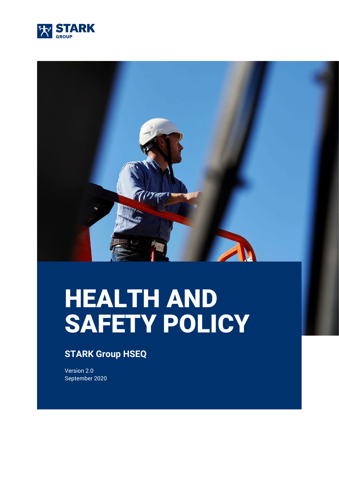



# HEALTH AND SAFETY POLICY

### **STARK Group HSEQ**

Version 2.0 September 2020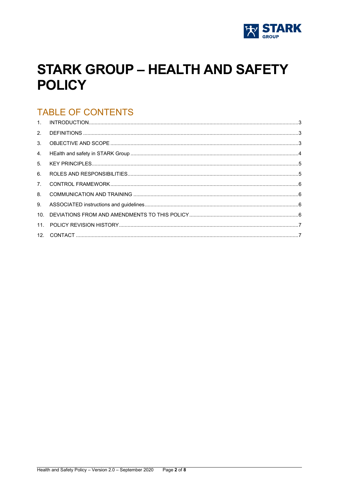

# **STARK GROUP - HEALTH AND SAFETY POLICY**

## **TABLE OF CONTENTS**

| 2 <sup>1</sup> |  |
|----------------|--|
| 3 <sub>1</sub> |  |
| 4.             |  |
| 5 <sub>1</sub> |  |
| 6.             |  |
| 7 <sub>1</sub> |  |
| 8.             |  |
| 9.             |  |
|                |  |
| 11.            |  |
|                |  |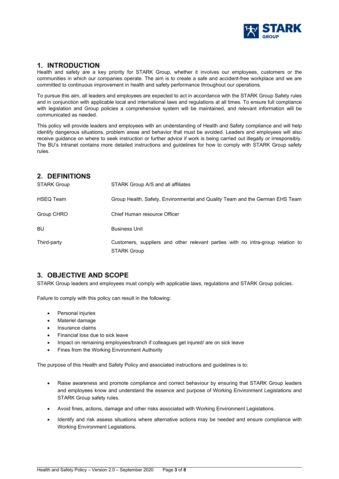

#### <span id="page-2-0"></span>**1. INTRODUCTION**

Health and safety are a key priority for STARK Group, whether it involves our employees, customers or the communities in which our companies operate. The aim is to create a safe and accident-free workplace and we are committed to continuous improvement in health and safety performance throughout our operations.

To pursue this aim, all leaders and employees are expected to act in accordance with the STARK Group Safety rules and in conjunction with applicable local and international laws and regulations at all times. To ensure full compliance with legislation and Group policies a comprehensive system will be maintained, and relevant information will be communicated as needed.

This policy will provide leaders and employees with an understanding of Health and Safety compliance and will help identify dangerous situations, problem areas and behavior that must be avoided. Leaders and employees will also receive guidance on where to seek instruction or further advice if work is being carried out illegally or irresponsibly. The BU's Intranet contains more detailed instructions and guidelines for how to comply with STARK Group safety rules.

#### <span id="page-2-1"></span>**2. DEFINITIONS**

| <b>STARK Group</b> | STARK Group A/S and all affiliates                                                                    |
|--------------------|-------------------------------------------------------------------------------------------------------|
| <b>HSEQ Team</b>   | Group Health, Safety, Environmental and Quality Team and the German EHS Team                          |
| Group CHRO         | Chief Human resource Officer                                                                          |
| BU                 | <b>Business Unit</b>                                                                                  |
| Third-party        | Customers, suppliers and other relevant parties with no intra-group relation to<br><b>STARK Group</b> |

#### <span id="page-2-2"></span>**3. OBJECTIVE AND SCOPE**

STARK Group leaders and employees must comply with applicable laws, regulations and STARK Group policies.

Failure to comply with this policy can result in the following:

- Personal injuries
- Materiel damage
- Insurance claims
- Financial loss due to sick leave
- Impact on remaining employees/branch if colleagues get injured/ are on sick leave
- Fines from the Working Environment Authority

The purpose of this Health and Safety Policy and associated instructions and guidelines is to:

- Raise awareness and promote compliance and correct behaviour by ensuring that STARK Group leaders and employees know and understand the essence and purpose of Working Environment Legislations and STARK Group safety rules.
- Avoid fines, actions, damage and other risks associated with Working Environment Legislations.
- Identify and risk assess situations where alternative actions may be needed and ensure compliance with Working Environment Legislations.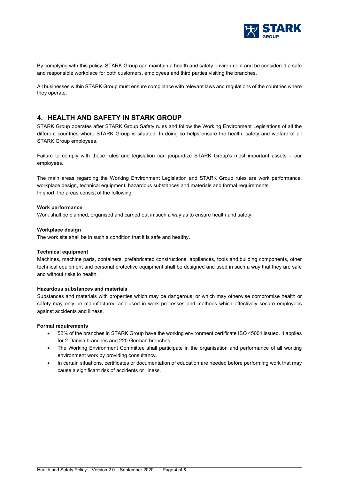

By complying with this policy, STARK Group can maintain a health and safety environment and be considered a safe and responsible workplace for both customers, employees and third parties visiting the branches.

All businesses within STARK Group must ensure compliance with relevant laws and regulations of the countries where they operate.

#### <span id="page-3-0"></span>**4. HEALTH AND SAFETY IN STARK GROUP**

STARK Group operates after STARK Group Safety rules and follow the Working Environment Legislations of all the different countries where STARK Group is situated. In doing so helps ensure the health, safety and welfare of all STARK Group employees.

Failure to comply with these rules and legislation can jeopardize STARK Group's most important assets – our employees.

The main areas regarding the Working Environment Legislation and STARK Group rules are work performance, workplace design, technical equipment, hazardous substances and materials and formal requirements. In short, the areas consist of the following:

#### **Work performance**

Work shall be planned, organised and carried out in such a way as to ensure health and safety.

#### **Workplace design**

The work site shall be in such a condition that it is safe and healthy.

#### **Technical equipment**

Machines, machine parts, containers, prefabricated constructions, appliances, tools and building components, other technical equipment and personal protective equipment shall be designed and used in such a way that they are safe and without risks to health.

#### **Hazardous substances and materials**

Substances and materials with properties which may be dangerous, or which may otherwise compromise health or safety may only be manufactured and used in work processes and methods which effectively secure employees against accidents and illness.

#### **Formal requirements**

- 52% of the branches in STARK Group have the working environment certificate ISO 45001 issued. It applies for 2 Danish branches and 220 German branches.
- The Working Environment Committee shall participate in the organisation and performance of all working environment work by providing consultancy.
- <span id="page-3-1"></span>• In certain situations, certificates or documentation of education are needed before performing work that may cause a significant risk of accidents or illness.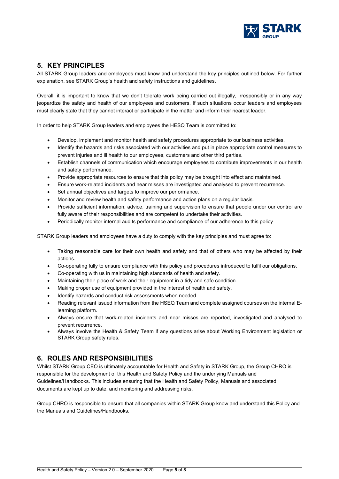

#### **5. KEY PRINCIPLES**

All STARK Group leaders and employees must know and understand the key principles outlined below. For further explanation, see STARK Group's health and safety instructions and guidelines.

Overall, it is important to know that we don't tolerate work being carried out illegally, irresponsibly or in any way jeopardize the safety and health of our employees and customers. If such situations occur leaders and employees must clearly state that they cannot interact or participate in the matter and inform their nearest leader.

In order to help STARK Group leaders and employees the HESQ Team is committed to:

- Develop, implement and monitor health and safety procedures appropriate to our business activities.
- Identify the hazards and risks associated with our activities and put in place appropriate control measures to prevent injuries and ill health to our employees, customers and other third parties.
- Establish channels of communication which encourage employees to contribute improvements in our health and safety performance.
- Provide appropriate resources to ensure that this policy may be brought into effect and maintained.
- Ensure work-related incidents and near misses are investigated and analysed to prevent recurrence.
- Set annual objectives and targets to improve our performance.
- Monitor and review health and safety performance and action plans on a regular basis.
- Provide sufficient information, advice, training and supervision to ensure that people under our control are fully aware of their responsibilities and are competent to undertake their activities.
- Periodically monitor internal audits performance and compliance of our adherence to this policy

STARK Group leaders and employees have a duty to comply with the key principles and must agree to:

- Taking reasonable care for their own health and safety and that of others who may be affected by their actions.
- Co-operating fully to ensure compliance with this policy and procedures introduced to fulfil our obligations.
- Co-operating with us in maintaining high standards of health and safety.
- Maintaining their place of work and their equipment in a tidy and safe condition.
- Making proper use of equipment provided in the interest of health and safety.
- Identify hazards and conduct risk assessments when needed.
- Reading relevant issued information from the HSEQ Team and complete assigned courses on the internal Elearning platform.
- Always ensure that work-related incidents and near misses are reported, investigated and analysed to prevent recurrence.
- Always involve the Health & Safety Team if any questions arise about Working Environment legislation or STARK Group safety rules.

#### <span id="page-4-0"></span>**6. ROLES AND RESPONSIBILITIES**

Whilst STARK Group CEO is ultimately accountable for Health and Safety in STARK Group, the Group CHRO is responsible for the development of this Health and Safety Policy and the underlying Manuals and Guidelines/Handbooks. This includes ensuring that the Health and Safety Policy, Manuals and associated documents are kept up to date, and monitoring and addressing risks.

Group CHRO is responsible to ensure that all companies within STARK Group know and understand this Policy and the Manuals and Guidelines/Handbooks.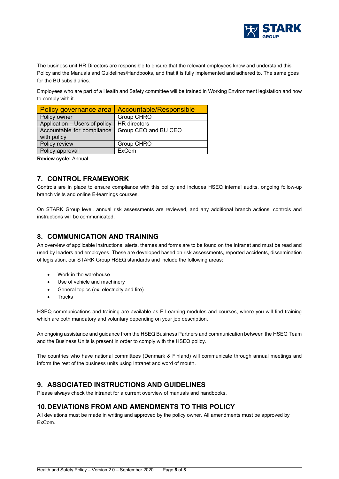

The business unit HR Directors are responsible to ensure that the relevant employees know and understand this Policy and the Manuals and Guidelines/Handbooks, and that it is fully implemented and adhered to. The same goes for the BU subsidiaries.

Employees who are part of a Health and Safety committee will be trained in Working Environment legislation and how to comply with it.

| Policy governance area        | Accountable/Responsible |
|-------------------------------|-------------------------|
| Policy owner                  | Group CHRO              |
| Application - Users of policy | <b>HR</b> directors     |
| Accountable for compliance    | Group CEO and BU CEO    |
| with policy                   |                         |
| Policy review                 | Group CHRO              |
| Policy approval               | ExCom                   |

**Review cycle:** Annual

#### <span id="page-5-0"></span>**7. CONTROL FRAMEWORK**

Controls are in place to ensure compliance with this policy and includes HSEQ internal audits, ongoing follow-up branch visits and online E-learnings courses.

On STARK Group level, annual risk assessments are reviewed, and any additional branch actions, controls and instructions will be communicated.

#### <span id="page-5-1"></span>**8. COMMUNICATION AND TRAINING**

An overview of applicable instructions, alerts, themes and forms are to be found on the Intranet and must be read and used by leaders and employees. These are developed based on risk assessments, reported accidents, dissemination of legislation, our STARK Group HSEQ standards and include the following areas:

- Work in the warehouse
- Use of vehicle and machinery
- General topics (ex. electricity and fire)
- **Trucks**

HSEQ communications and training are available as E-Learning modules and courses, where you will find training which are both mandatory and voluntary depending on your job description.

An ongoing assistance and guidance from the HSEQ Business Partners and communication between the HSEQ Team and the Business Units is present in order to comply with the HSEQ policy.

The countries who have national committees (Denmark & Finland) will communicate through annual meetings and inform the rest of the business units using Intranet and word of mouth.

#### <span id="page-5-2"></span>**9. ASSOCIATED INSTRUCTIONS AND GUIDELINES**

<span id="page-5-3"></span>Please always check the intranet for a current overview of manuals and handbooks.

#### **10.DEVIATIONS FROM AND AMENDMENTS TO THIS POLICY**

All deviations must be made in writing and approved by the policy owner. All amendments must be approved by ExCom.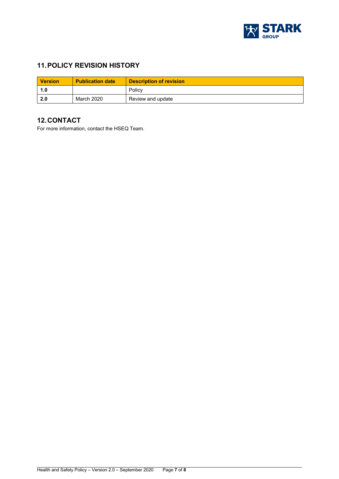

#### <span id="page-6-0"></span>**11.POLICY REVISION HISTORY**

| <b>Version</b> | <b>Publication date</b> | <b>Description of revision</b> |
|----------------|-------------------------|--------------------------------|
| 1.0            |                         | Policy                         |
| 2.0            | March 2020              | Review and update              |

#### <span id="page-6-1"></span>**12.CONTACT**

For more information, contact the HSEQ Team.